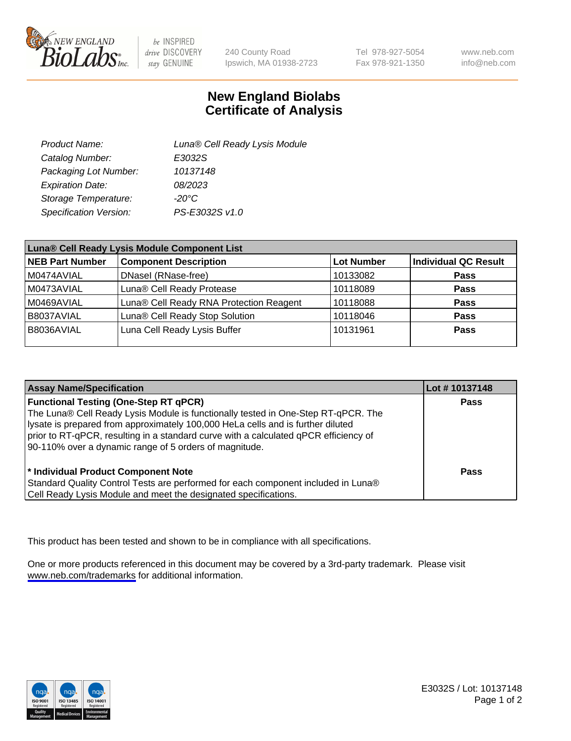

be INSPIRED drive DISCOVERY stay GENUINE

240 County Road Ipswich, MA 01938-2723 Tel 978-927-5054 Fax 978-921-1350

www.neb.com info@neb.com

## **New England Biolabs Certificate of Analysis**

| Product Name:           | Luna® Cell Ready Lysis Module |
|-------------------------|-------------------------------|
| Catalog Number:         | E3032S                        |
| Packaging Lot Number:   | 10137148                      |
| <b>Expiration Date:</b> | 08/2023                       |
| Storage Temperature:    | -20°C                         |
| Specification Version:  | PS-E3032S v1.0                |

| Luna® Cell Ready Lysis Module Component List |                                         |                   |                             |  |
|----------------------------------------------|-----------------------------------------|-------------------|-----------------------------|--|
| <b>NEB Part Number</b>                       | <b>Component Description</b>            | <b>Lot Number</b> | <b>Individual QC Result</b> |  |
| M0474AVIAL                                   | DNasel (RNase-free)                     | 10133082          | <b>Pass</b>                 |  |
| M0473AVIAL                                   | Luna® Cell Ready Protease               | 10118089          | <b>Pass</b>                 |  |
| M0469AVIAL                                   | Luna® Cell Ready RNA Protection Reagent | 10118088          | <b>Pass</b>                 |  |
| B8037AVIAL                                   | Luna® Cell Ready Stop Solution          | 10118046          | <b>Pass</b>                 |  |
| B8036AVIAL                                   | Luna Cell Ready Lysis Buffer            | 10131961          | Pass                        |  |
|                                              |                                         |                   |                             |  |

| <b>Assay Name/Specification</b>                                                                                                                                                                                                                                                                                                                                        | Lot #10137148 |
|------------------------------------------------------------------------------------------------------------------------------------------------------------------------------------------------------------------------------------------------------------------------------------------------------------------------------------------------------------------------|---------------|
| <b>Functional Testing (One-Step RT qPCR)</b><br>The Luna® Cell Ready Lysis Module is functionally tested in One-Step RT-qPCR. The<br>lysate is prepared from approximately 100,000 HeLa cells and is further diluted<br>prior to RT-qPCR, resulting in a standard curve with a calculated qPCR efficiency of<br>90-110% over a dynamic range of 5 orders of magnitude. | <b>Pass</b>   |
| * Individual Product Component Note<br>Standard Quality Control Tests are performed for each component included in Luna®<br>Cell Ready Lysis Module and meet the designated specifications.                                                                                                                                                                            | Pass          |

This product has been tested and shown to be in compliance with all specifications.

One or more products referenced in this document may be covered by a 3rd-party trademark. Please visit <www.neb.com/trademarks>for additional information.